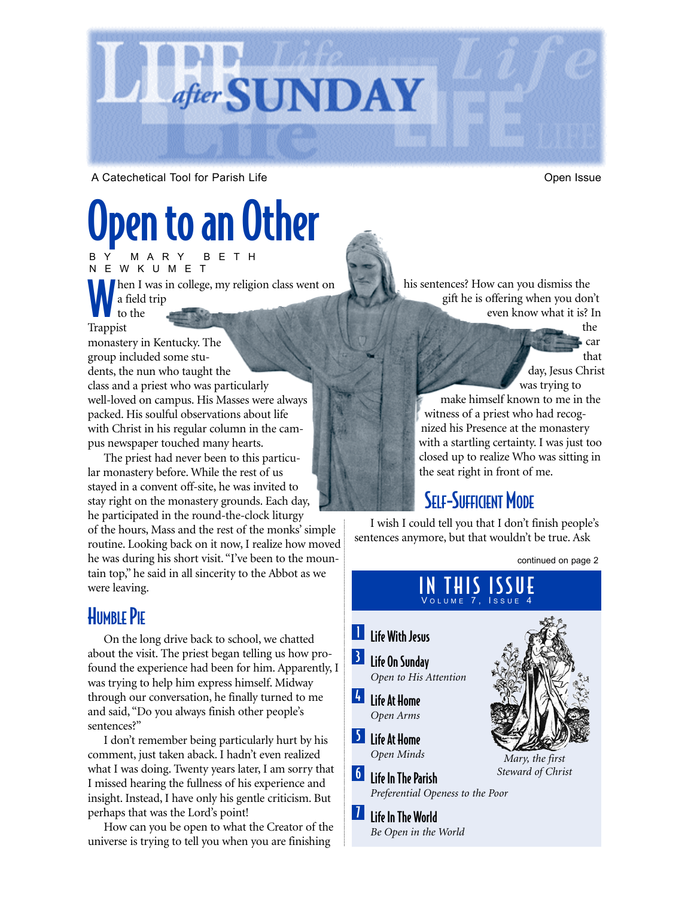

A Catechetical Tool for Parish Life **Category 1986** Control of Chemissue Open Issue

car

# Open to an Other

Ihen I was in college, my religion class went on a field trip to the BY MARY BETH NEWKUMET

Trappist

monastery in Kentucky. The group included some students, the nun who taught the class and a priest who was particularly well-loved on campus. His Masses were always packed. His soulful observations about life with Christ in his regular column in the campus newspaper touched many hearts.

The priest had never been to this particular monastery before. While the rest of us stayed in a convent off-site, he was invited to stay right on the monastery grounds. Each day, he participated in the round-the-clock liturgy of the hours, Mass and the rest of the monks' simple routine. Looking back on it now, I realize how moved he was during his short visit. "I've been to the mountain top," he said in all sincerity to the Abbot as we were leaving.

### **HUMBLE PIE**

On the long drive back to school, we chatted about the visit. The priest began telling us how profound the experience had been for him. Apparently, I was trying to help him express himself. Midway through our conversation, he finally turned to me and said, "Do you always finish other people's sentences?"

I don't remember being particularly hurt by his comment, just taken aback. I hadn't even realized what I was doing. Twenty years later, I am sorry that I missed hearing the fullness of his experience and insight. Instead, I have only his gentle criticism. But perhaps that was the Lord's point!

How can you be open to what the Creator of the universe is trying to tell you when you are finishing

his sentences? How can you dismiss the gift he is offering when you don't even know what it is? In the

> that day, Jesus Christ was trying to make himself known to me in the witness of a priest who had recognized his Presence at the monastery

> with a startling certainty. I was just too closed up to realize Who was sitting in the seat right in front of me.

### **SELF-SUFFICIENT MODE**

I wish I could tell you that I don't finish people's sentences anymore, but that wouldn't be true. Ask

continued on page 2

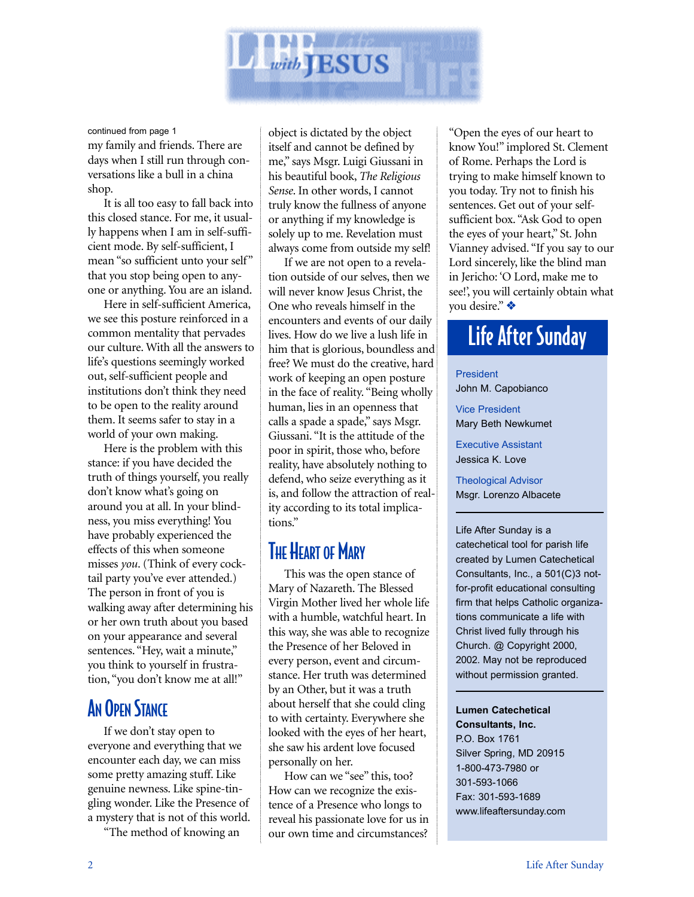

my family and friends. There are continued from page 1

days when I still run through conversations like a bull in a china shop.

It is all too easy to fall back into this closed stance. For me, it usually happens when I am in self-sufficient mode. By self-sufficient, I mean "so sufficient unto your self" that you stop being open to anyone or anything. You are an island.

Here in self-sufficient America, we see this posture reinforced in a common mentality that pervades our culture. With all the answers to life's questions seemingly worked out, self-sufficient people and institutions don't think they need to be open to the reality around them. It seems safer to stay in a world of your own making.

Here is the problem with this stance: if you have decided the truth of things yourself, you really don't know what's going on around you at all. In your blindness, you miss everything! You have probably experienced the effects of this when someone misses *you*. (Think of every cocktail party you've ever attended.) The person in front of you is walking away after determining his or her own truth about you based on your appearance and several sentences. "Hey, wait a minute," you think to yourself in frustration, "you don't know me at all!"

### **AN OPEN STANCE**

If we don't stay open to everyone and everything that we encounter each day, we can miss some pretty amazing stuff. Like genuine newness. Like spine-tingling wonder. Like the Presence of a mystery that is not of this world.

"The method of knowing an

object is dictated by the object itself and cannot be defined by me," says Msgr. Luigi Giussani in his beautiful book, *The Religious Sense*. In other words, I cannot truly know the fullness of anyone or anything if my knowledge is solely up to me. Revelation must always come from outside my self!

If we are not open to a revelation outside of our selves, then we will never know Jesus Christ, the One who reveals himself in the encounters and events of our daily lives. How do we live a lush life in him that is glorious, boundless and free? We must do the creative, hard work of keeping an open posture in the face of reality. "Being wholly human, lies in an openness that calls a spade a spade," says Msgr. Giussani. "It is the attitude of the poor in spirit, those who, before reality, have absolutely nothing to defend, who seize everything as it is, and follow the attraction of reality according to its total implications."

#### **THE HEART OF MARY**

This was the open stance of Mary of Nazareth. The Blessed Virgin Mother lived her whole life with a humble, watchful heart. In this way, she was able to recognize the Presence of her Beloved in every person, event and circumstance. Her truth was determined by an Other, but it was a truth about herself that she could cling to with certainty. Everywhere she looked with the eyes of her heart, she saw his ardent love focused personally on her.

How can we "see" this, too? How can we recognize the existence of a Presence who longs to reveal his passionate love for us in our own time and circumstances?

"Open the eyes of our heart to know You!" implored St. Clement of Rome. Perhaps the Lord is trying to make himself known to you today. Try not to finish his sentences. Get out of your selfsufficient box. "Ask God to open the eyes of your heart," St. John Vianney advised. "If you say to our Lord sincerely, like the blind man in Jericho: 'O Lord, make me to see!', you will certainly obtain what you desire." ❖

### Life After Sunday

President John M. Capobianco

Vice President Mary Beth Newkumet

Executive Assistant Jessica K. Love

Theological Advisor Msgr. Lorenzo Albacete

Life After Sunday is a catechetical tool for parish life created by Lumen Catechetical Consultants, Inc., a 501(C)3 notfor-profit educational consulting firm that helps Catholic organizations communicate a life with Christ lived fully through his Church. @ Copyright 2000, 2002. May not be reproduced without permission granted.

**Lumen Catechetical Consultants, Inc.** P.O. Box 1761 Silver Spring, MD 20915 1-800-473-7980 or

301-593-1066 Fax: 301-593-1689 www.lifeaftersunday.com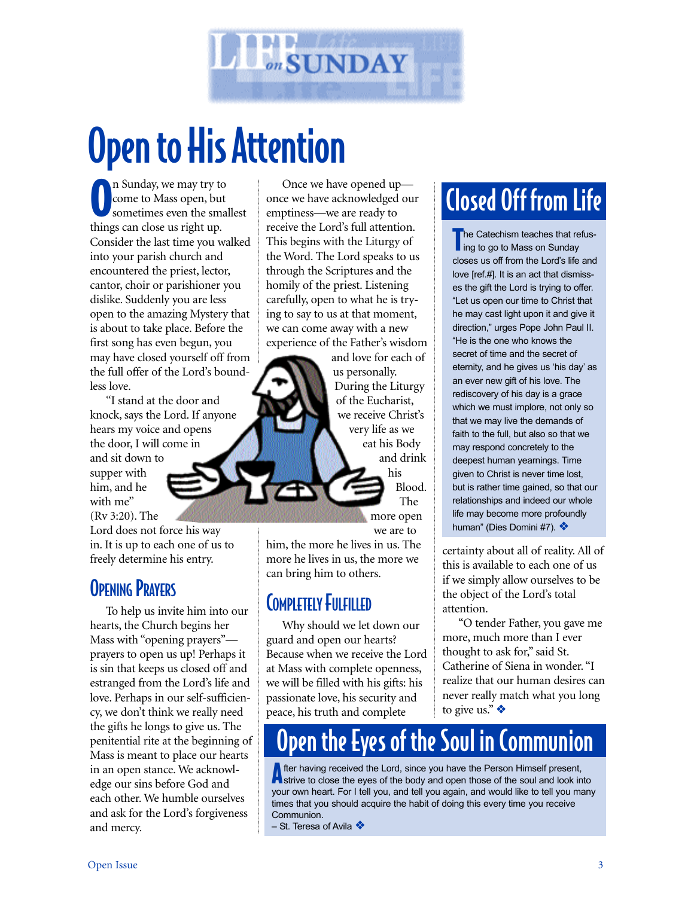

# Open to His Attention

O n Sunday, we may try to come to Mass open, but sometimes even the smallest things can close us right up. Consider the last time you walked into your parish church and encountered the priest, lector, cantor, choir or parishioner you dislike. Suddenly you are less open to the amazing Mystery that is about to take place. Before the first song has even begun, you may have closed yourself off from the full offer of the Lord's boundless love.

"I stand at the door and knock, says the Lord. If anyone hears my voice and opens the door, I will come in and sit down to supper with him, and he with me" (Rv 3:20). The

Lord does not force his way in. It is up to each one of us to freely determine his entry.

#### **OPENING PRAYERS**

To help us invite him into our hearts, the Church begins her Mass with "opening prayers" prayers to open us up! Perhaps it is sin that keeps us closed off and estranged from the Lord's life and love. Perhaps in our self-sufficiency, we don't think we really need the gifts he longs to give us. The penitential rite at the beginning of Mass is meant to place our hearts in an open stance. We acknowledge our sins before God and each other. We humble ourselves and ask for the Lord's forgiveness and mercy.

Once we have opened up once we have acknowledged our emptiness—we are ready to receive the Lord's full attention. This begins with the Liturgy of the Word. The Lord speaks to us through the Scriptures and the homily of the priest. Listening carefully, open to what he is trying to say to us at that moment, we can come away with a new experience of the Father's wisdom

and love for each of us personally. During the Liturgy of the Eucharist, we receive Christ's very life as we eat his Body and drink his Blood. The

> more open we are to

him, the more he lives in us. The more he lives in us, the more we can bring him to others.

#### **COMPLETELY FULFILLED**

Why should we let down our guard and open our hearts? Because when we receive the Lord at Mass with complete openness, we will be filled with his gifts: his passionate love, his security and peace, his truth and complete

## Closed Off from Life

The Catechism teaches that refus-<br>
ing to go to Mass on Sunday ling to go to Mass on Sunday closes us off from the Lord's life and love [ref.#]. It is an act that dismisses the gift the Lord is trying to offer. "Let us open our time to Christ that he may cast light upon it and give it direction," urges Pope John Paul II. "He is the one who knows the secret of time and the secret of eternity, and he gives us 'his day' as an ever new gift of his love. The rediscovery of his day is a grace which we must implore, not only so that we may live the demands of faith to the full, but also so that we may respond concretely to the deepest human yearnings. Time given to Christ is never time lost, but is rather time gained, so that our relationships and indeed our whole life may become more profoundly human" (Dies Domini #7). ❖

certainty about all of reality. All of this is available to each one of us if we simply allow ourselves to be the object of the Lord's total attention.

"O tender Father, you gave me more, much more than I ever thought to ask for," said St. Catherine of Siena in wonder. "I realize that our human desires can never really match what you long to give us." ❖

## Open the Eyes of the Soul in Communion

After having received the Lord, since you have the Person Himself present,<br>A strive to close the eyes of the body and open those of the soul and look into your own heart. For I tell you, and tell you again, and would like to tell you many times that you should acquire the habit of doing this every time you receive Communion.

– St. Teresa of Avila ❖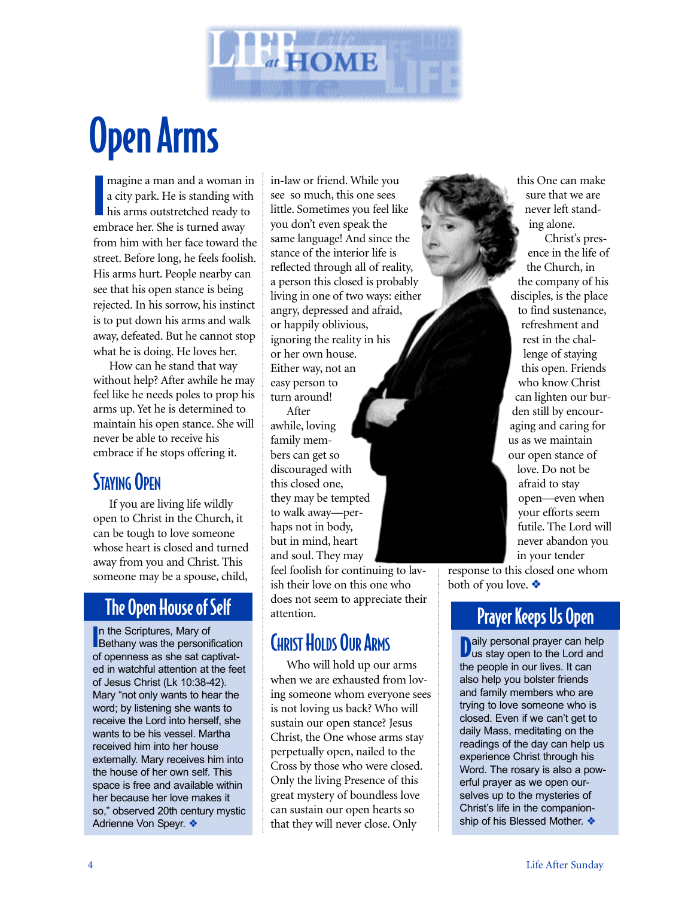

# Open Arms

magine a man and a woman is<br>a city park. He is standing with<br>his arms outstretched ready to magine a man and a woman in a city park. He is standing with embrace her. She is turned away from him with her face toward the street. Before long, he feels foolish. His arms hurt. People nearby can see that his open stance is being rejected. In his sorrow, his instinct is to put down his arms and walk away, defeated. But he cannot stop what he is doing. He loves her.

How can he stand that way without help? After awhile he may feel like he needs poles to prop his arms up. Yet he is determined to maintain his open stance. She will never be able to receive his embrace if he stops offering it.

#### STAYING OPEN

If you are living life wildly open to Christ in the Church, it can be tough to love someone whose heart is closed and turned away from you and Christ. This someone may be a spouse, child,

In the Scriptures, Mary of<br>Bethany was the personification In the Scriptures, Mary of of openness as she sat captivated in watchful attention at the feet of Jesus Christ (Lk 10:38-42). Mary "not only wants to hear the word; by listening she wants to receive the Lord into herself, she wants to be his vessel. Martha received him into her house externally. Mary receives him into the house of her own self. This space is free and available within her because her love makes it so," observed 20th century mystic Adrienne Von Speyr. ❖

in-law or friend. While you see so much, this one sees little. Sometimes you feel like you don't even speak the same language! And since the stance of the interior life is reflected through all of reality, a person this closed is probably living in one of two ways: either angry, depressed and afraid, or happily oblivious, ignoring the reality in his or her own house. Either way, not an easy person to turn around! After

awhile, loving family members can get so discouraged with this closed one, they may be tempted to walk away—perhaps not in body, but in mind, heart and soul. They may

feel foolish for continuing to lavish their love on this one who does not seem to appreciate their attention. The Open House of Self does not seem to appreciate their **Prayer Keeps Us Open** 

#### **CHRIST HOLDS OUR ARMS**

Who will hold up our arms when we are exhausted from loving someone whom everyone sees is not loving us back? Who will sustain our open stance? Jesus Christ, the One whose arms stay perpetually open, nailed to the Cross by those who were closed. Only the living Presence of this great mystery of boundless love can sustain our open hearts so that they will never close. Only

sure that we are never left standing alone. Christ's presence in the life of the Church, in the company of his disciples, is the place to find sustenance, refreshment and rest in the challenge of staying this open. Friends who know Christ can lighten our burden still by encouraging and caring for us as we maintain our open stance of love. Do not be afraid to stay open—even when

this One can make

your efforts seem futile. The Lord will never abandon you in your tender

response to this closed one whom both of you love. ❖

Daily personal prayer can help<br>Uus stay open to the Lord and us stay open to the Lord and the people in our lives. It can also help you bolster friends and family members who are trying to love someone who is closed. Even if we can't get to daily Mass, meditating on the readings of the day can help us experience Christ through his Word. The rosary is also a powerful prayer as we open ourselves up to the mysteries of Christ's life in the companionship of his Blessed Mother. ❖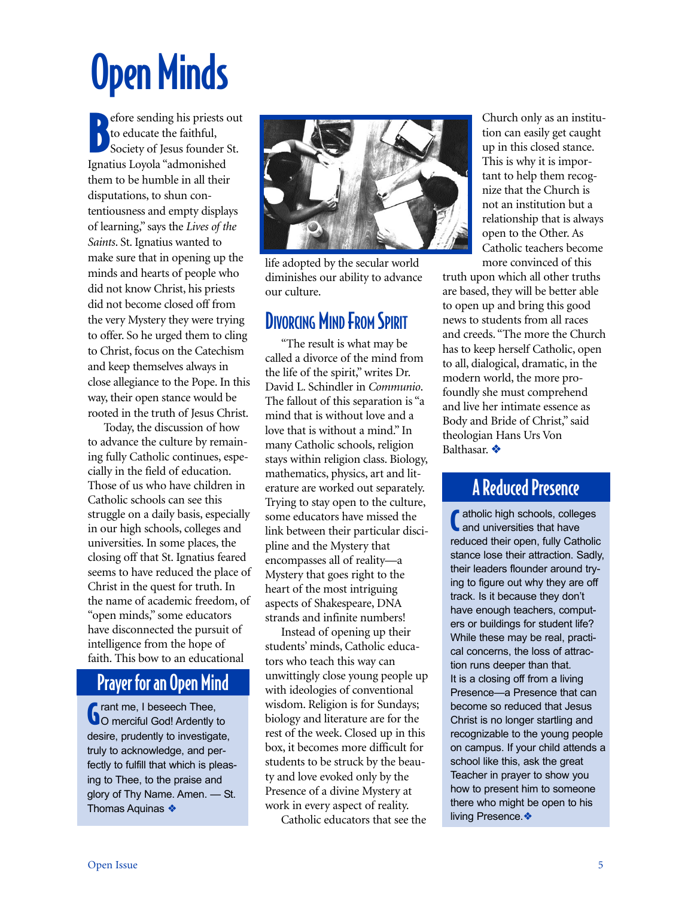# Open Minds

B efore sending his priests out<br>to educate the faithful, to educate the faithful, Society of Jesus founder St. Ignatius Loyola "admonished them to be humble in all their disputations, to shun contentiousness and empty displays of learning," says the *Lives of the Saints*. St. Ignatius wanted to make sure that in opening up the minds and hearts of people who did not know Christ, his priests did not become closed off from the very Mystery they were trying to offer. So he urged them to cling to Christ, focus on the Catechism and keep themselves always in close allegiance to the Pope. In this way, their open stance would be rooted in the truth of Jesus Christ.

Today, the discussion of how to advance the culture by remaining fully Catholic continues, especially in the field of education. Those of us who have children in Catholic schools can see this struggle on a daily basis, especially in our high schools, colleges and universities. In some places, the closing off that St. Ignatius feared seems to have reduced the place of Christ in the quest for truth. In the name of academic freedom, of "open minds," some educators have disconnected the pursuit of intelligence from the hope of faith. This bow to an educational

#### Prayer for an Open Mind

**G** rant me, I beseech Thee,<br>**C** o merciful God! Ardently t O merciful God! Ardently to desire, prudently to investigate, truly to acknowledge, and perfectly to fulfill that which is pleasing to Thee, to the praise and glory of Thy Name. Amen. — St. Thomas Aquinas ❖



life adopted by the secular world diminishes our ability to advance our culture.

#### **DIVORCING MIND FROM SPIRIT**

"The result is what may be called a divorce of the mind from the life of the spirit," writes Dr. David L. Schindler in *Communio*. The fallout of this separation is "a mind that is without love and a love that is without a mind." In many Catholic schools, religion stays within religion class. Biology, mathematics, physics, art and literature are worked out separately. Trying to stay open to the culture, some educators have missed the link between their particular discipline and the Mystery that encompasses all of reality—a Mystery that goes right to the heart of the most intriguing aspects of Shakespeare, DNA strands and infinite numbers!

Instead of opening up their students' minds, Catholic educators who teach this way can unwittingly close young people up with ideologies of conventional wisdom. Religion is for Sundays; biology and literature are for the rest of the week. Closed up in this box, it becomes more difficult for students to be struck by the beauty and love evoked only by the Presence of a divine Mystery at work in every aspect of reality.

Catholic educators that see the

Church only as an institution can easily get caught up in this closed stance. This is why it is important to help them recognize that the Church is not an institution but a relationship that is always open to the Other. As Catholic teachers become more convinced of this

truth upon which all other truths are based, they will be better able to open up and bring this good news to students from all races and creeds. "The more the Church has to keep herself Catholic, open to all, dialogical, dramatic, in the modern world, the more profoundly she must comprehend and live her intimate essence as Body and Bride of Christ," said theologian Hans Urs Von Balthasar. ❖

#### A Reduced Presence

diatholic high schools, colleges<br>and universities that have and universities that have reduced their open, fully Catholic stance lose their attraction. Sadly, their leaders flounder around trying to figure out why they are off track. Is it because they don't have enough teachers, computers or buildings for student life? While these may be real, practical concerns, the loss of attraction runs deeper than that. It is a closing off from a living Presence—a Presence that can become so reduced that Jesus Christ is no longer startling and recognizable to the young people on campus. If your child attends a school like this, ask the great Teacher in prayer to show you how to present him to someone there who might be open to his living Presence.❖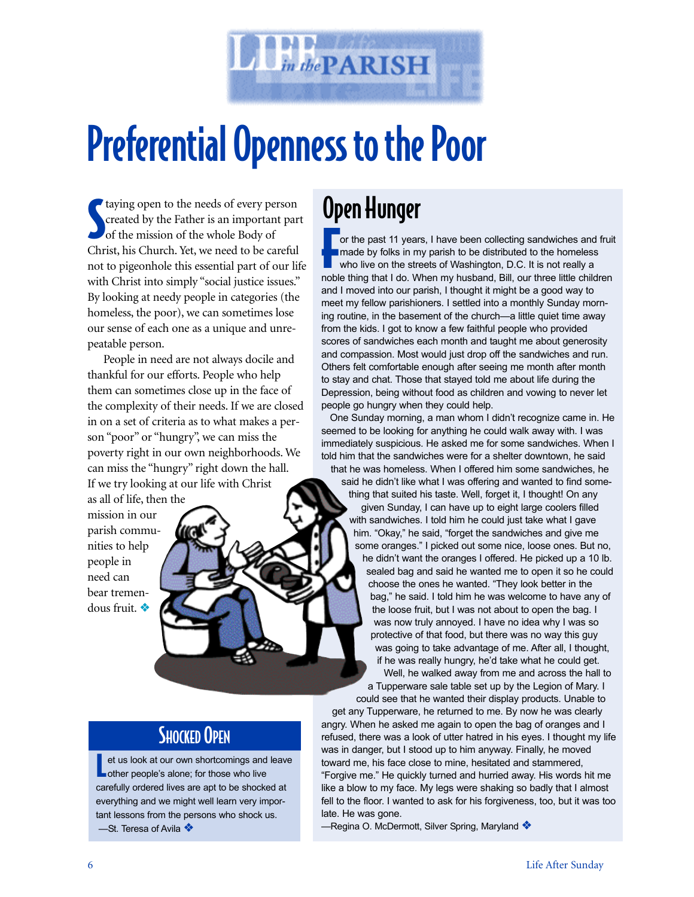

# Preferential Openness to the Poor

S taying open to the needs of every person created by the Father is an important part of the mission of the whole Body of Christ, his Church. Yet, we need to be careful not to pigeonhole this essential part of our life with Christ into simply "social justice issues." By looking at needy people in categories (the homeless, the poor), we can sometimes lose our sense of each one as a unique and unrepeatable person.

People in need are not always docile and thankful for our efforts. People who help them can sometimes close up in the face of the complexity of their needs. If we are closed in on a set of criteria as to what makes a person "poor" or "hungry", we can miss the poverty right in our own neighborhoods. We can miss the "hungry" right down the hall. If we try looking at our life with Christ

as all of life, then the mission in our parish communities to help people in need can bear tremendous fruit. ❖

### Open Hunger

For the past 11 years, I have been collecting sandwiches and fruit<br>
For the past 11 years, I have been collecting sandwiches and fruit<br>
who live on the streets of Washington, D.C. It is not really a<br>
poble thing that I do made by folks in my parish to be distributed to the homeless who live on the streets of Washington, D.C. It is not really a noble thing that I do. When my husband, Bill, our three little children and I moved into our parish, I thought it might be a good way to meet my fellow parishioners. I settled into a monthly Sunday morning routine, in the basement of the church—a little quiet time away from the kids. I got to know a few faithful people who provided scores of sandwiches each month and taught me about generosity and compassion. Most would just drop off the sandwiches and run. Others felt comfortable enough after seeing me month after month to stay and chat. Those that stayed told me about life during the Depression, being without food as children and vowing to never let people go hungry when they could help.

One Sunday morning, a man whom I didn't recognize came in. He seemed to be looking for anything he could walk away with. I was immediately suspicious. He asked me for some sandwiches. When I told him that the sandwiches were for a shelter downtown, he said that he was homeless. When I offered him some sandwiches, he

said he didn't like what I was offering and wanted to find something that suited his taste. Well, forget it, I thought! On any given Sunday, I can have up to eight large coolers filled with sandwiches. I told him he could just take what I gave him. "Okay," he said, "forget the sandwiches and give me some oranges." I picked out some nice, loose ones. But no, he didn't want the oranges I offered. He picked up a 10 lb. sealed bag and said he wanted me to open it so he could choose the ones he wanted. "They look better in the bag," he said. I told him he was welcome to have any of the loose fruit, but I was not about to open the bag. I was now truly annoyed. I have no idea why I was so protective of that food, but there was no way this guy was going to take advantage of me. After all, I thought, if he was really hungry, he'd take what he could get. Well, he walked away from me and across the hall to

a Tupperware sale table set up by the Legion of Mary. I could see that he wanted their display products. Unable to

### **SHOCKED OPEN**

et us look at our own shortcomings and<br>
other people's alone; for those who live et us look at our own shortcomings and leave carefully ordered lives are apt to be shocked at everything and we might well learn very important lessons from the persons who shock us. —St. Teresa of Avila ❖

get any Tupperware, he returned to me. By now he was clearly angry. When he asked me again to open the bag of oranges and I refused, there was a look of utter hatred in his eyes. I thought my life was in danger, but I stood up to him anyway. Finally, he moved toward me, his face close to mine, hesitated and stammered, "Forgive me." He quickly turned and hurried away. His words hit me like a blow to my face. My legs were shaking so badly that I almost fell to the floor. I wanted to ask for his forgiveness, too, but it was too late. He was gone.

—Regina O. McDermott, Silver Spring, Maryland ❖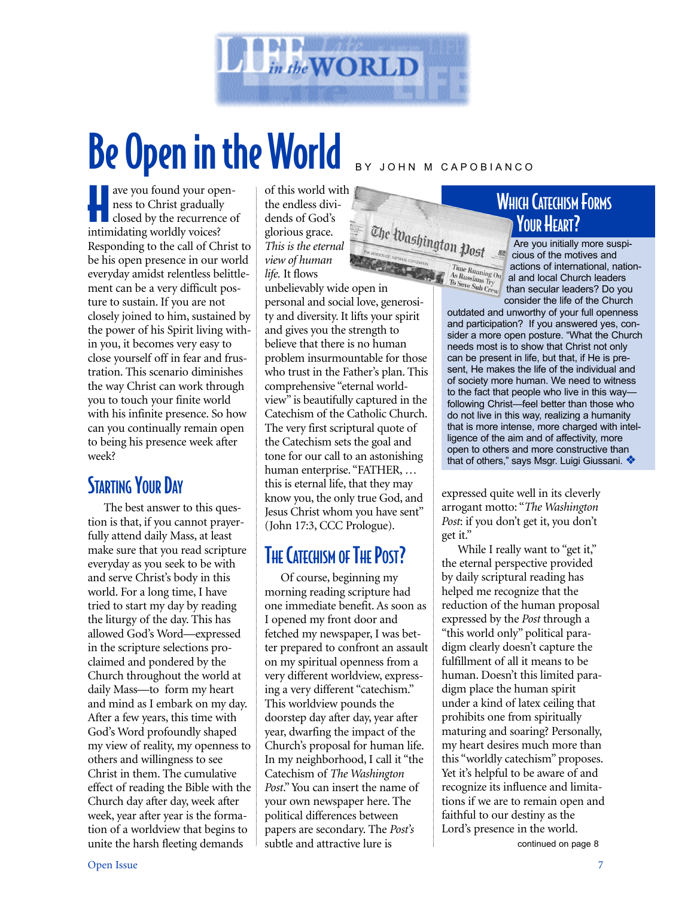

# Be Open in the World BY JOHN M CAPOBIANCO

ave you found your open-<br>
ness to Christ gradually<br>
closed by the recurrence of ave you found your openness to Christ gradually intimidating worldly voices? Responding to the call of Christ to be his open presence in our world everyday amidst relentless belittlement can be a very difficult posture to sustain. If you are not closely joined to him, sustained by the power of his Spirit living within you, it becomes very easy to close yourself off in fear and frustration. This scenario diminishes the way Christ can work through you to touch your finite world with his infinite presence. So how can you continually remain open to being his presence week after week?

#### **STARTING YOUR DAY**

The best answer to this question is that, if you cannot prayerfully attend daily Mass, at least make sure that you read scripture everyday as you seek to be with and serve Christ's body in this world. For a long time, I have tried to start my day by reading the liturgy of the day. This has allowed God's Word—expressed in the scripture selections proclaimed and pondered by the Church throughout the world at daily Mass—to form my heart and mind as I embark on my day. After a few years, this time with God's Word profoundly shaped my view of reality, my openness to others and willingness to see Christ in them. The cumulative effect of reading the Bible with the Church day after day, week after week, year after year is the formation of a worldview that begins to unite the harsh fleeting demands

of this world with the endless dividends of God's glorious grace. *This is the eternal view of human life.* It flows

unbelievably wide open in personal and social love, generosity and diversity. It lifts your spirit and gives you the strength to believe that there is no human problem insurmountable for those who trust in the Father's plan. This comprehensive "eternal worldview" is beautifully captured in the Catechism of the Catholic Church. The very first scriptural quote of the Catechism sets the goal and tone for our call to an astonishing human enterprise. "FATHER, … this is eternal life, that they may know you, the only true God, and Jesus Christ whom you have sent" (John 17:3, CCC Prologue).

The Washington Post

#### THE CATECHISM OF THE POST?

Of course, beginning my morning reading scripture had one immediate benefit. As soon as I opened my front door and fetched my newspaper, I was better prepared to confront an assault on my spiritual openness from a very different worldview, expressing a very different "catechism." This worldview pounds the doorstep day after day, year after year, dwarfing the impact of the Church's proposal for human life. In my neighborhood, I call it "the Catechism of *The Washington Post*." You can insert the name of your own newspaper here. The political differences between papers are secondary. The *Post's* subtle and attractive lure is

#### WHICH CATECHISM FORMS YOUR HEART?

HON

Are you initially more suspicious of the motives and actions of international, national and local Church leaders than secular leaders? Do you France Running Ou actions of international, nautor  $\frac{A_S R_{\text{U}ssians}}{T_{\text{D}} S_{\text{ave S}ub}}$  crew and local Church leaders? Do you consider the life of the Church

outdated and unworthy of your full openness and participation? If you answered yes, consider a more open posture. "What the Church needs most is to show that Christ not only can be present in life, but that, if He is present, He makes the life of the individual and of society more human. We need to witness to the fact that people who live in this way following Christ—feel better than those who do not live in this way, realizing a humanity that is more intense, more charged with intelligence of the aim and of affectivity, more open to others and more constructive than that of others," says Msgr. Luigi Giussani. ❖

expressed quite well in its cleverly arrogant motto: "*The Washington Post*: if you don't get it, you don't get it."

While I really want to "get it," the eternal perspective provided by daily scriptural reading has helped me recognize that the reduction of the human proposal expressed by the *Post* through a "this world only" political paradigm clearly doesn't capture the fulfillment of all it means to be human. Doesn't this limited paradigm place the human spirit under a kind of latex ceiling that prohibits one from spiritually maturing and soaring? Personally, my heart desires much more than this "worldly catechism" proposes. Yet it's helpful to be aware of and recognize its influence and limitations if we are to remain open and faithful to our destiny as the Lord's presence in the world. continued on page 8